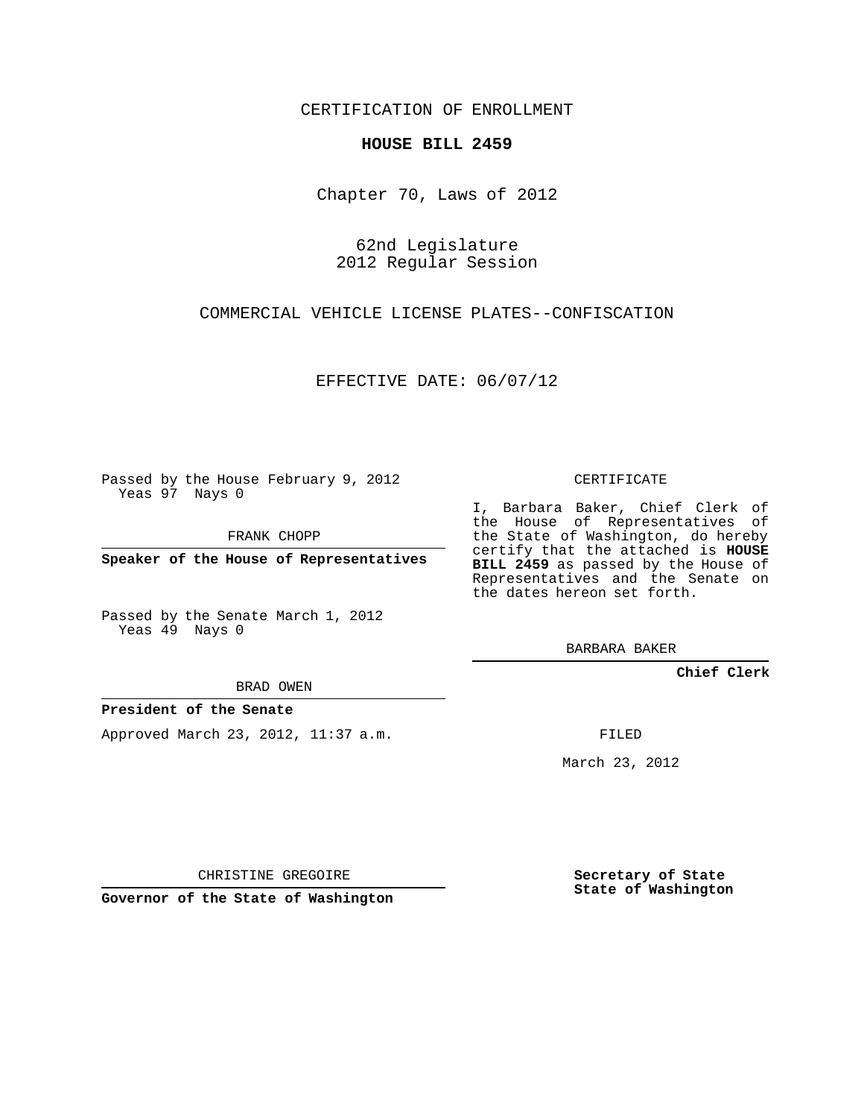CERTIFICATION OF ENROLLMENT

## **HOUSE BILL 2459**

Chapter 70, Laws of 2012

62nd Legislature 2012 Regular Session

COMMERCIAL VEHICLE LICENSE PLATES--CONFISCATION

EFFECTIVE DATE: 06/07/12

Passed by the House February 9, 2012 Yeas 97 Nays 0

FRANK CHOPP

**Speaker of the House of Representatives**

Passed by the Senate March 1, 2012 Yeas 49 Nays 0

BRAD OWEN

**President of the Senate**

Approved March 23, 2012, 11:37 a.m.

CERTIFICATE

I, Barbara Baker, Chief Clerk of the House of Representatives of the State of Washington, do hereby certify that the attached is **HOUSE BILL 2459** as passed by the House of Representatives and the Senate on the dates hereon set forth.

BARBARA BAKER

**Chief Clerk**

FILED

March 23, 2012

CHRISTINE GREGOIRE

**Governor of the State of Washington**

**Secretary of State State of Washington**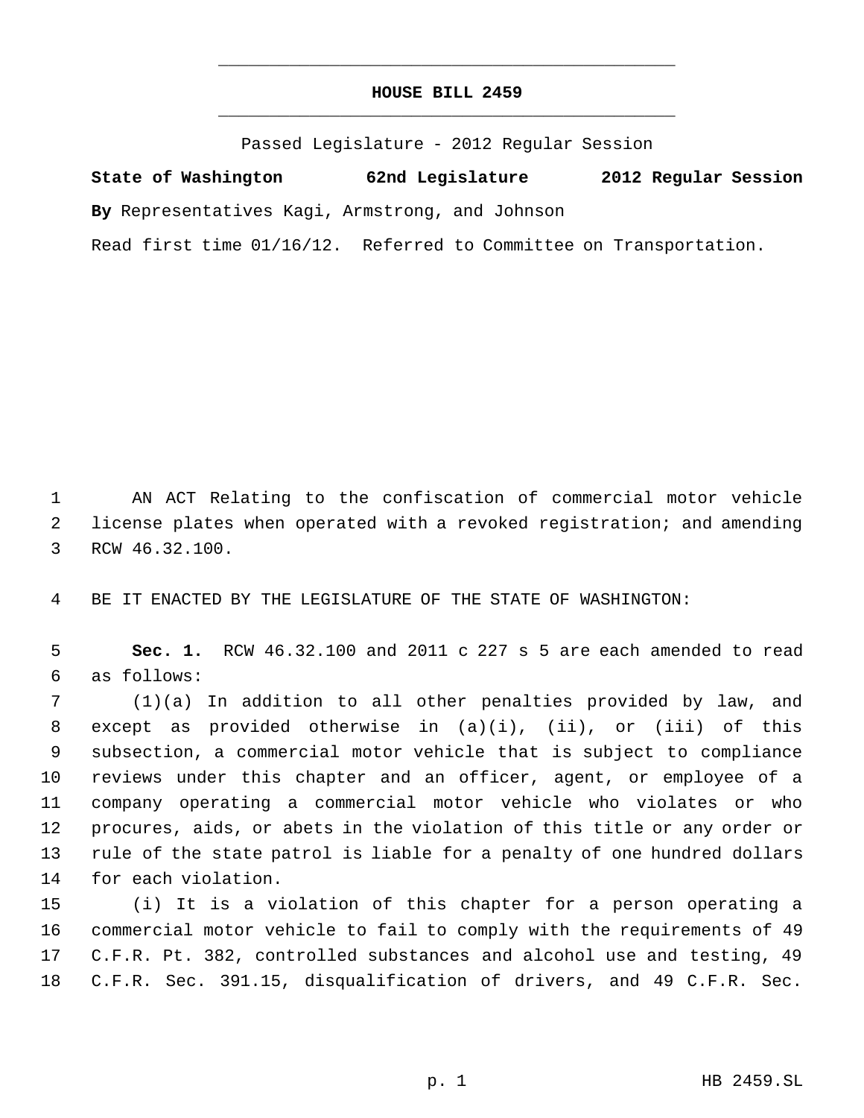## **HOUSE BILL 2459** \_\_\_\_\_\_\_\_\_\_\_\_\_\_\_\_\_\_\_\_\_\_\_\_\_\_\_\_\_\_\_\_\_\_\_\_\_\_\_\_\_\_\_\_\_

\_\_\_\_\_\_\_\_\_\_\_\_\_\_\_\_\_\_\_\_\_\_\_\_\_\_\_\_\_\_\_\_\_\_\_\_\_\_\_\_\_\_\_\_\_

Passed Legislature - 2012 Regular Session

**State of Washington 62nd Legislature 2012 Regular Session By** Representatives Kagi, Armstrong, and Johnson

Read first time 01/16/12. Referred to Committee on Transportation.

 AN ACT Relating to the confiscation of commercial motor vehicle license plates when operated with a revoked registration; and amending RCW 46.32.100.

BE IT ENACTED BY THE LEGISLATURE OF THE STATE OF WASHINGTON:

 **Sec. 1.** RCW 46.32.100 and 2011 c 227 s 5 are each amended to read as follows:

 (1)(a) In addition to all other penalties provided by law, and except as provided otherwise in (a)(i), (ii), or (iii) of this subsection, a commercial motor vehicle that is subject to compliance reviews under this chapter and an officer, agent, or employee of a company operating a commercial motor vehicle who violates or who procures, aids, or abets in the violation of this title or any order or rule of the state patrol is liable for a penalty of one hundred dollars for each violation.

 (i) It is a violation of this chapter for a person operating a commercial motor vehicle to fail to comply with the requirements of 49 C.F.R. Pt. 382, controlled substances and alcohol use and testing, 49 C.F.R. Sec. 391.15, disqualification of drivers, and 49 C.F.R. Sec.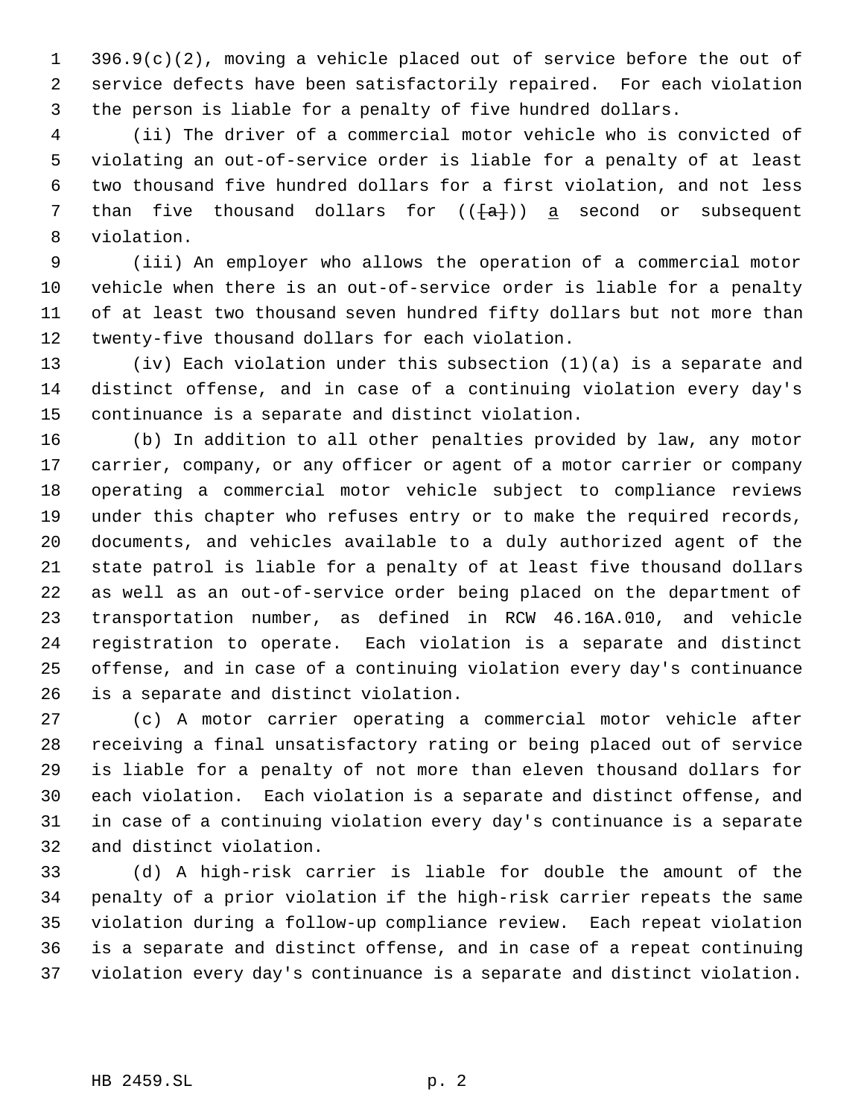396.9(c)(2), moving a vehicle placed out of service before the out of service defects have been satisfactorily repaired. For each violation the person is liable for a penalty of five hundred dollars.

 (ii) The driver of a commercial motor vehicle who is convicted of violating an out-of-service order is liable for a penalty of at least two thousand five hundred dollars for a first violation, and not less 7 than five thousand dollars for  $((+a+))$  a second or subsequent violation.

 (iii) An employer who allows the operation of a commercial motor vehicle when there is an out-of-service order is liable for a penalty of at least two thousand seven hundred fifty dollars but not more than twenty-five thousand dollars for each violation.

 (iv) Each violation under this subsection (1)(a) is a separate and distinct offense, and in case of a continuing violation every day's continuance is a separate and distinct violation.

 (b) In addition to all other penalties provided by law, any motor carrier, company, or any officer or agent of a motor carrier or company operating a commercial motor vehicle subject to compliance reviews under this chapter who refuses entry or to make the required records, documents, and vehicles available to a duly authorized agent of the state patrol is liable for a penalty of at least five thousand dollars as well as an out-of-service order being placed on the department of transportation number, as defined in RCW 46.16A.010, and vehicle registration to operate. Each violation is a separate and distinct offense, and in case of a continuing violation every day's continuance is a separate and distinct violation.

 (c) A motor carrier operating a commercial motor vehicle after receiving a final unsatisfactory rating or being placed out of service is liable for a penalty of not more than eleven thousand dollars for each violation. Each violation is a separate and distinct offense, and in case of a continuing violation every day's continuance is a separate and distinct violation.

 (d) A high-risk carrier is liable for double the amount of the penalty of a prior violation if the high-risk carrier repeats the same violation during a follow-up compliance review. Each repeat violation is a separate and distinct offense, and in case of a repeat continuing violation every day's continuance is a separate and distinct violation.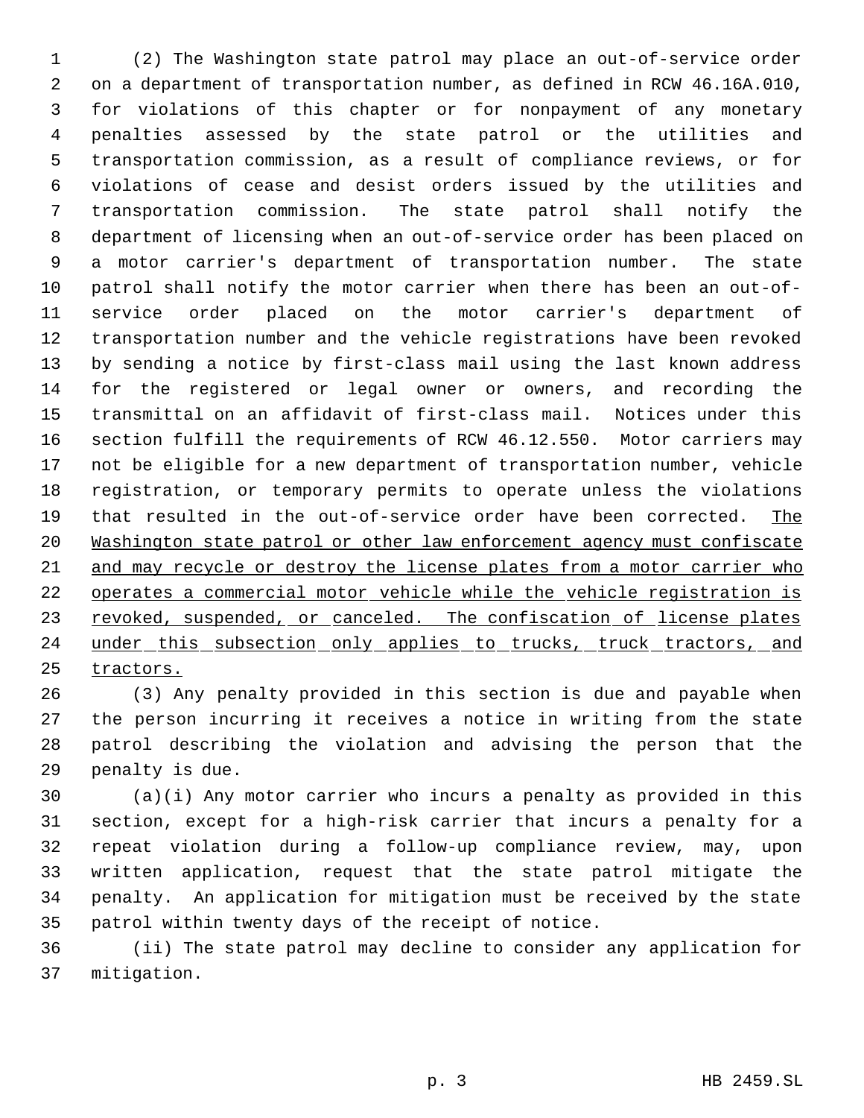(2) The Washington state patrol may place an out-of-service order on a department of transportation number, as defined in RCW 46.16A.010, for violations of this chapter or for nonpayment of any monetary penalties assessed by the state patrol or the utilities and transportation commission, as a result of compliance reviews, or for violations of cease and desist orders issued by the utilities and transportation commission. The state patrol shall notify the department of licensing when an out-of-service order has been placed on a motor carrier's department of transportation number. The state patrol shall notify the motor carrier when there has been an out-of- service order placed on the motor carrier's department of transportation number and the vehicle registrations have been revoked by sending a notice by first-class mail using the last known address for the registered or legal owner or owners, and recording the transmittal on an affidavit of first-class mail. Notices under this section fulfill the requirements of RCW 46.12.550. Motor carriers may not be eligible for a new department of transportation number, vehicle registration, or temporary permits to operate unless the violations 19 that resulted in the out-of-service order have been corrected. The Washington state patrol or other law enforcement agency must confiscate and may recycle or destroy the license plates from a motor carrier who operates a commercial motor vehicle while the vehicle registration is 23 revoked, suspended, or canceled. The confiscation of license plates 24 under this subsection only applies to trucks, truck tractors, and tractors.

 (3) Any penalty provided in this section is due and payable when the person incurring it receives a notice in writing from the state patrol describing the violation and advising the person that the penalty is due.

 (a)(i) Any motor carrier who incurs a penalty as provided in this section, except for a high-risk carrier that incurs a penalty for a repeat violation during a follow-up compliance review, may, upon written application, request that the state patrol mitigate the penalty. An application for mitigation must be received by the state patrol within twenty days of the receipt of notice.

 (ii) The state patrol may decline to consider any application for mitigation.